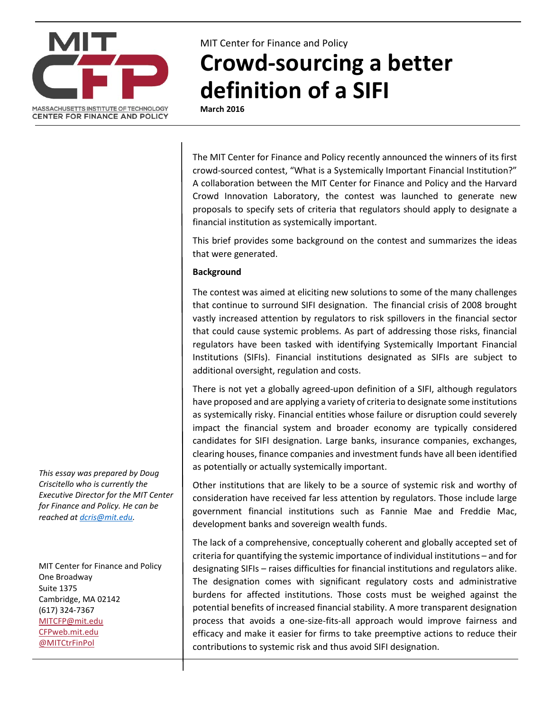

MIT Center for Finance and Policy

## **Crowd-sourcing a better definition of a SIFI**

**March 2016**

The MIT Center for Finance and Policy recently announced the winners of its first crowd-sourced contest, "What is a Systemically Important Financial Institution?" A collaboration between the MIT Center for Finance and Policy and the Harvard Crowd Innovation Laboratory, the contest was launched to generate new proposals to specify sets of criteria that regulators should apply to designate a financial institution as systemically important.

This brief provides some background on the contest and summarizes the ideas that were generated.

## **Background**

The contest was aimed at eliciting new solutions to some of the many challenges that continue to surround SIFI designation. The financial crisis of 2008 brought vastly increased attention by regulators to risk spillovers in the financial sector that could cause systemic problems. As part of addressing those risks, financial regulators have been tasked with identifying Systemically Important Financial Institutions (SIFIs). Financial institutions designated as SIFIs are subject to additional oversight, regulation and costs.

There is not yet a globally agreed-upon definition of a SIFI, although regulators have proposed and are applying a variety of criteria to designate some institutions as systemically risky. Financial entities whose failure or disruption could severely impact the financial system and broader economy are typically considered candidates for SIFI designation. Large banks, insurance companies, exchanges, clearing houses, finance companies and investment funds have all been identified as potentially or actually systemically important.

Other institutions that are likely to be a source of systemic risk and worthy of consideration have received far less attention by regulators. Those include large government financial institutions such as Fannie Mae and Freddie Mac, development banks and sovereign wealth funds.

The lack of a comprehensive, conceptually coherent and globally accepted set of criteria for quantifying the systemic importance of individual institutions – and for designating SIFIs – raises difficulties for financial institutions and regulators alike. The designation comes with significant regulatory costs and administrative burdens for affected institutions. Those costs must be weighed against the potential benefits of increased financial stability. A more transparent designation process that avoids a one-size-fits-all approach would improve fairness and efficacy and make it easier for firms to take preemptive actions to reduce their contributions to systemic risk and thus avoid SIFI designation.

*This essay was prepared by Doug Criscitello who is currently the Executive Director for the MIT Center for Finance and Policy. He can be reached at [dcris@mit.edu.](mailto:dcris@mit.edu)*

MIT Center for Finance and Policy One Broadway Suite 1375 Cambridge, MA 02142 (617) 324-7367 [MITCFP@mit.edu](mailto:MITCFP@mit.edu) [CFPweb.mit.edu](http://cfpweb.mit.edu/) [@MITCtrFinPol](https://twitter.com/MITcfp)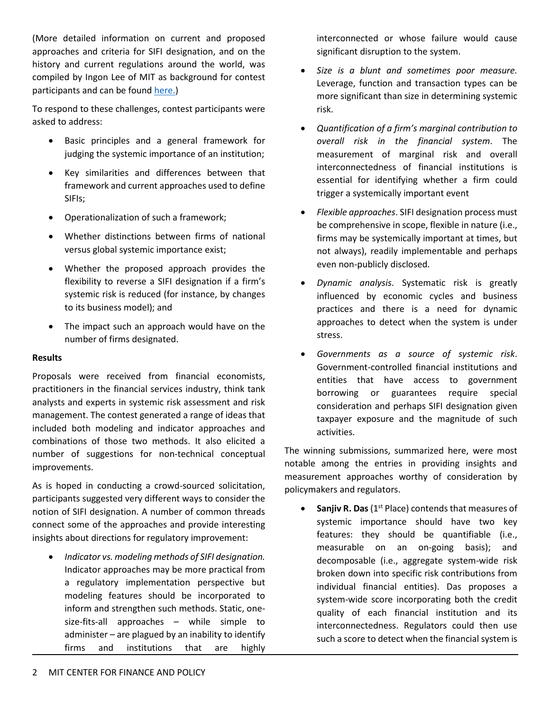(More detailed information on current and proposed approaches and criteria for SIFI designation, and on the history and current regulations around the world, was compiled by Ingon Lee of MIT as background for contest participants and can be found [here.\)](http://cfpweb.mit.edu/BackgroundInformation/)

To respond to these challenges, contest participants were asked to address:

- Basic principles and a general framework for judging the systemic importance of an institution;
- Key similarities and differences between that framework and current approaches used to define SIFIs;
- Operationalization of such a framework;
- Whether distinctions between firms of national versus global systemic importance exist;
- Whether the proposed approach provides the flexibility to reverse a SIFI designation if a firm's systemic risk is reduced (for instance, by changes to its business model); and
- The impact such an approach would have on the number of firms designated.

## **Results**

Proposals were received from financial economists, practitioners in the financial services industry, think tank analysts and experts in systemic risk assessment and risk management. The contest generated a range of ideas that included both modeling and indicator approaches and combinations of those two methods. It also elicited a number of suggestions for non-technical conceptual improvements.

As is hoped in conducting a crowd-sourced solicitation, participants suggested very different ways to consider the notion of SIFI designation. A number of common threads connect some of the approaches and provide interesting insights about directions for regulatory improvement:

• *Indicator vs. modeling methods of SIFI designation.*  Indicator approaches may be more practical from a regulatory implementation perspective but modeling features should be incorporated to inform and strengthen such methods. Static, onesize-fits-all approaches – while simple to administer – are plagued by an inability to identify firms and institutions that are highly

interconnected or whose failure would cause significant disruption to the system.

- *Size is a blunt and sometimes poor measure.* Leverage, function and transaction types can be more significant than size in determining systemic risk.
- *Quantification of a firm's marginal contribution to overall risk in the financial system*. The measurement of marginal risk and overall interconnectedness of financial institutions is essential for identifying whether a firm could trigger a systemically important event
- *Flexible approaches*. SIFI designation process must be comprehensive in scope, flexible in nature (i.e., firms may be systemically important at times, but not always), readily implementable and perhaps even non-publicly disclosed.
- *Dynamic analysis*. Systematic risk is greatly influenced by economic cycles and business practices and there is a need for dynamic approaches to detect when the system is under stress.
- *Governments as a source of systemic risk*. Government-controlled financial institutions and entities that have access to government borrowing or guarantees require special consideration and perhaps SIFI designation given taxpayer exposure and the magnitude of such activities.

The winning submissions, summarized here, were most notable among the entries in providing insights and measurement approaches worthy of consideration by policymakers and regulators.

**Sanjiv R. Das** (1<sup>st</sup> Place) contends that measures of systemic importance should have two key features: they should be quantifiable (i.e., measurable on an on-going basis); and decomposable (i.e., aggregate system-wide risk broken down into specific risk contributions from individual financial entities). Das proposes a system-wide score incorporating both the credit quality of each financial institution and its interconnectedness. Regulators could then use such a score to detect when the financial system is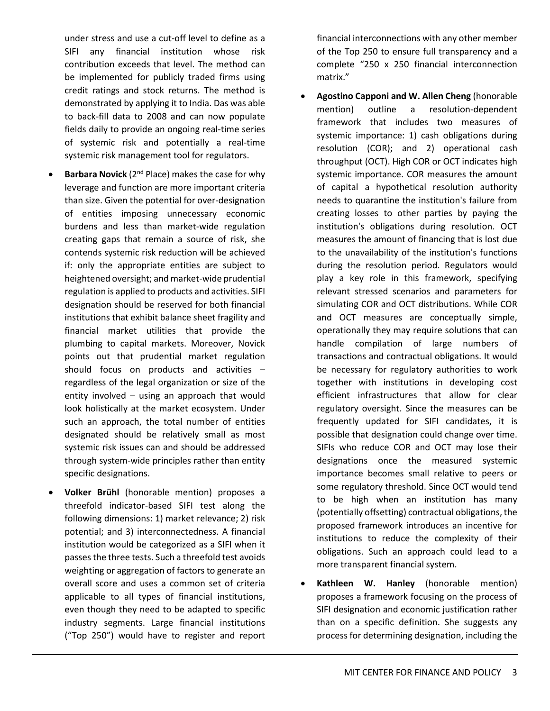under stress and use a cut-off level to define as a SIFI any financial institution whose risk contribution exceeds that level. The method can be implemented for publicly traded firms using credit ratings and stock returns. The method is demonstrated by applying it to India. Das was able to back-fill data to 2008 and can now populate fields daily to provide an ongoing real-time series of systemic risk and potentially a real-time systemic risk management tool for regulators.

- **Barbara Novick** (2<sup>nd</sup> Place) makes the case for why leverage and function are more important criteria than size. Given the potential for over-designation of entities imposing unnecessary economic burdens and less than market-wide regulation creating gaps that remain a source of risk, she contends systemic risk reduction will be achieved if: only the appropriate entities are subject to heightened oversight; and market-wide prudential regulation is applied to products and activities. SIFI designation should be reserved for both financial institutions that exhibit balance sheet fragility and financial market utilities that provide the plumbing to capital markets. Moreover, Novick points out that prudential market regulation should focus on products and activities – regardless of the legal organization or size of the entity involved – using an approach that would look holistically at the market ecosystem. Under such an approach, the total number of entities designated should be relatively small as most systemic risk issues can and should be addressed through system-wide principles rather than entity specific designations.
- **Volker Brühl** (honorable mention) proposes a threefold indicator-based SIFI test along the following dimensions: 1) market relevance; 2) risk potential; and 3) interconnectedness. A financial institution would be categorized as a SIFI when it passes the three tests. Such a threefold test avoids weighting or aggregation of factors to generate an overall score and uses a common set of criteria applicable to all types of financial institutions, even though they need to be adapted to specific industry segments. Large financial institutions ("Top 250") would have to register and report

financial interconnections with any other member of the Top 250 to ensure full transparency and a complete "250 x 250 financial interconnection matrix."

- **Agostino Capponi and W. Allen Cheng** (honorable mention) outline a resolution-dependent framework that includes two measures of systemic importance: 1) cash obligations during resolution (COR); and 2) operational cash throughput (OCT). High COR or OCT indicates high systemic importance. COR measures the amount of capital a hypothetical resolution authority needs to quarantine the institution's failure from creating losses to other parties by paying the institution's obligations during resolution. OCT measures the amount of financing that is lost due to the unavailability of the institution's functions during the resolution period. Regulators would play a key role in this framework, specifying relevant stressed scenarios and parameters for simulating COR and OCT distributions. While COR and OCT measures are conceptually simple, operationally they may require solutions that can handle compilation of large numbers of transactions and contractual obligations. It would be necessary for regulatory authorities to work together with institutions in developing cost efficient infrastructures that allow for clear regulatory oversight. Since the measures can be frequently updated for SIFI candidates, it is possible that designation could change over time. SIFIs who reduce COR and OCT may lose their designations once the measured systemic importance becomes small relative to peers or some regulatory threshold. Since OCT would tend to be high when an institution has many (potentially offsetting) contractual obligations, the proposed framework introduces an incentive for institutions to reduce the complexity of their obligations. Such an approach could lead to a more transparent financial system.
- **Kathleen W. Hanley** (honorable mention) proposes a framework focusing on the process of SIFI designation and economic justification rather than on a specific definition. She suggests any process for determining designation, including the